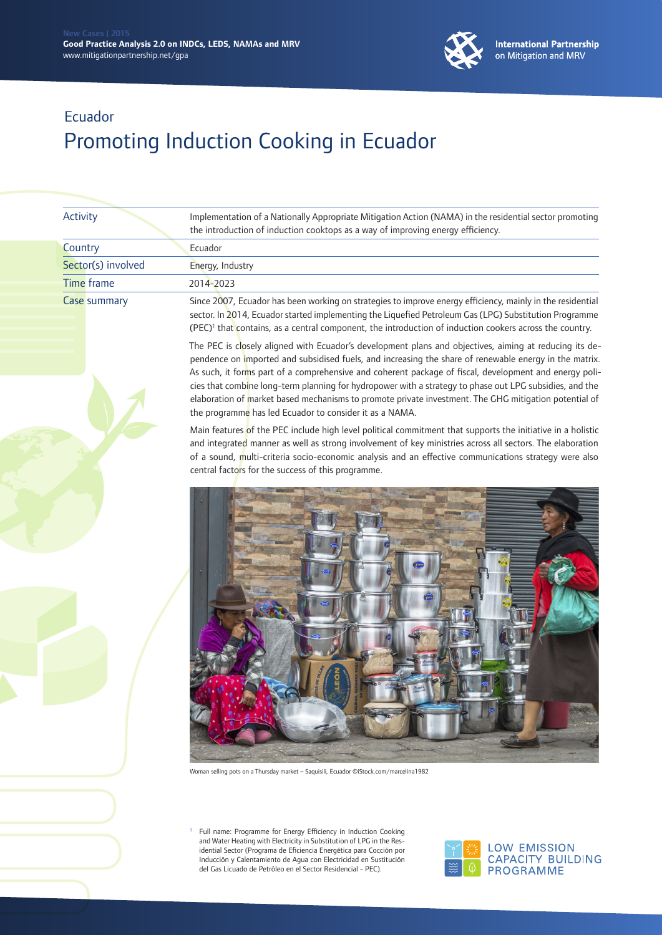

CAPACITY BUILDING

**PROGRAMME** 

⋒

### Ecuador Promoting Induction Cooking in Ecuador

|  | Activity            | Implementation of a Nationally Appropriate Mitigation Action (NAMA) in the residential sector promoting<br>the introduction of induction cooktops as a way of improving energy efficiency.                                                                                                                                                                                                                                                                                                                                                                                                                |
|--|---------------------|-----------------------------------------------------------------------------------------------------------------------------------------------------------------------------------------------------------------------------------------------------------------------------------------------------------------------------------------------------------------------------------------------------------------------------------------------------------------------------------------------------------------------------------------------------------------------------------------------------------|
|  | Country             | Ecuador                                                                                                                                                                                                                                                                                                                                                                                                                                                                                                                                                                                                   |
|  | Sector(s) involved  | Energy, Industry                                                                                                                                                                                                                                                                                                                                                                                                                                                                                                                                                                                          |
|  | <b>Time frame</b>   | 2014-2023                                                                                                                                                                                                                                                                                                                                                                                                                                                                                                                                                                                                 |
|  | <b>Case summary</b> | Since 2007, Ecuador has been working on strategies to improve energy efficiency, mainly in the residential<br>sector. In 2014, Ecuador started implementing the Liquefied Petroleum Gas (LPG) Substitution Programme<br>(PEC) <sup>1</sup> that contains, as a central component, the introduction of induction cookers across the country.                                                                                                                                                                                                                                                               |
|  |                     | The PEC is closely aligned with Ecuador's development plans and objectives, aiming at reducing its de-<br>pendence on imported and subsidised fuels, and increasing the share of renewable energy in the matrix.<br>As such, it forms part of a comprehensive and coherent package of fiscal, development and energy poli-<br>cies that combine long-term planning for hydropower with a strategy to phase out LPG subsidies, and the<br>elaboration of market based mechanisms to promote private investment. The GHG mitigation potential of<br>the programme has led Ecuador to consider it as a NAMA. |
|  |                     | Main features of the PEC include high level political commitment that supports the initiative in a holistic<br>and integrated manner as well as strong involvement of key ministries across all sectors. The elaboration<br>of a sound, multi-criteria socio-economic analysis and an effective communications strategy were also<br>central factors for the success of this programme.                                                                                                                                                                                                                   |
|  |                     | Woman selling pots on a Thursday market - Saquisili, Ecuador ©iStock.com/marcelina1982                                                                                                                                                                                                                                                                                                                                                                                                                                                                                                                    |
|  |                     | Full name: Programme for Energy Efficiency in Induction Cooking<br>л,<br>and Water Heating with Electricity in Substitution of LPG in the Res-<br><b>LOW EMISSION</b><br>idential Sector (Programa de Eficiencia Energética para Cocción por                                                                                                                                                                                                                                                                                                                                                              |

idential Sector (Programa de Eficiencia Energética para Cocción por Inducción y Calentamiento de Agua con Electricidad en Sustitución del Gas Licuado de Petróleo en el Sector Residencial - PEC).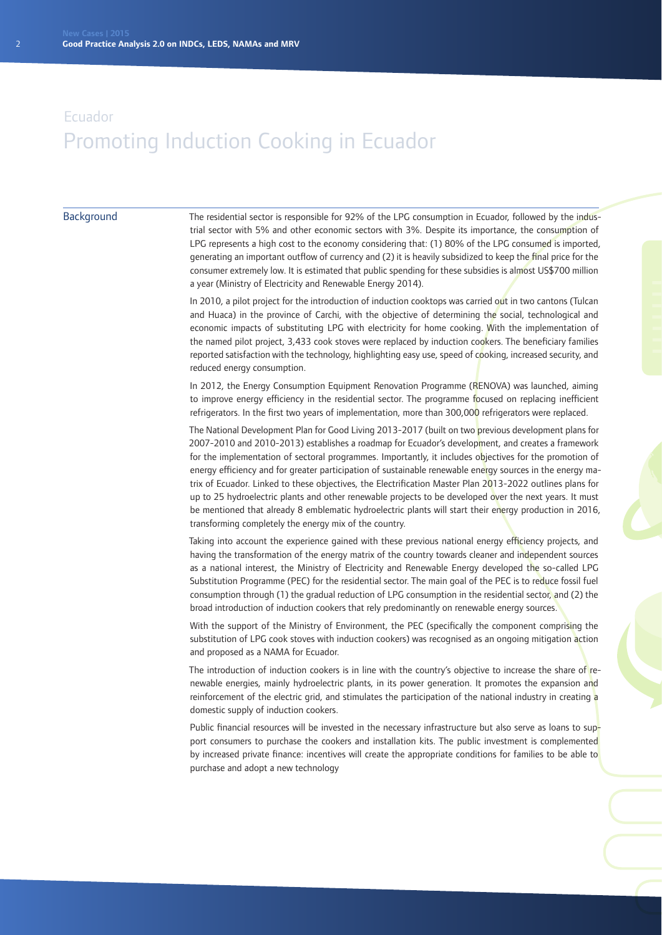#### **Background**

The residential sector is responsible for 92% of the LPG consumption in Ecuador, followed by the industrial sector with 5% and other economic sectors with 3%. Despite its importance, the consumption of LPG represents a high cost to the economy considering that: (1) 80% of the LPG consumed is imported, generating an important outflow of currency and (2) it is heavily subsidized to keep the final price for the consumer extremely low. It is estimated that public spending for these subsidies is almost US\$700 million a year (Ministry of Electricity and Renewable Energy 2014).

In 2010, a pilot project for the introduction of induction cooktops was carried out in two cantons (Tulcan and Huaca) in the province of Carchi, with the objective of determining the social, technological and economic impacts of substituting LPG with electricity for home cooking. With the implementation of the named pilot project, 3,433 cook stoves were replaced by induction cookers. The beneficiary families reported satisfaction with the technology, highlighting easy use, speed of cooking, increased security, and reduced energy consumption.

In 2012, the Energy Consumption Equipment Renovation Programme (RENOVA) was launched, aiming to improve energy efficiency in the residential sector. The programme focused on replacing inefficient refrigerators. In the first two years of implementation, more than 300,000 refrigerators were replaced.

The National Development Plan for Good Living 2013-2017 (built on two previous development plans for 2007-2010 and 2010-2013) establishes a roadmap for Ecuador's development, and creates a framework for the implementation of sectoral programmes. Importantly, it includes objectives for the promotion of energy efficiency and for greater participation of sustainable renewable energy sources in the energy matrix of Ecuador. Linked to these objectives, the Electrification Master Plan 2013-2022 outlines plans for up to 25 hydroelectric plants and other renewable projects to be developed over the next years. It must be mentioned that already 8 emblematic hydroelectric plants will start their energy production in 2016, transforming completely the energy mix of the country.

Taking into account the experience gained with these previous national energy efficiency projects, and having the transformation of the energy matrix of the country towards cleaner and independent sources as a national interest, the Ministry of Electricity and Renewable Energy developed the so-called LPG Substitution Programme (PEC) for the residential sector. The main goal of the PEC is to reduce fossil fuel consumption through (1) the gradual reduction of LPG consumption in the residential sector, and (2) the broad introduction of induction cookers that rely predominantly on renewable energy sources.

With the support of the Ministry of Environment, the PEC (specifically the component comprising the substitution of LPG cook stoves with induction cookers) was recognised as an ongoing mitigation action and proposed as a NAMA for Ecuador.

The introduction of induction cookers is in line with the country's objective to increase the share of renewable energies, mainly hydroelectric plants, in its power generation. It promotes the expansion and reinforcement of the electric grid, and stimulates the participation of the national industry in creating a domestic supply of induction cookers.

Public financial resources will be invested in the necessary infrastructure but also serve as loans to support consumers to purchase the cookers and installation kits. The public investment is complemented by increased private finance: incentives will create the appropriate conditions for families to be able to purchase and adopt a new technology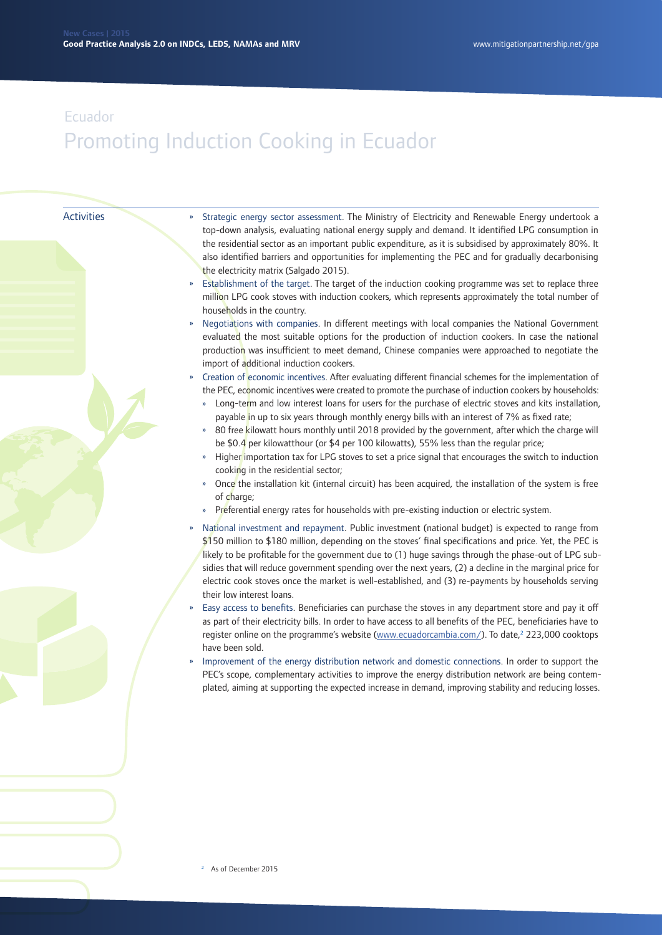#### Activities

- » Strategic energy sector assessment. The Ministry of Electricity and Renewable Energy undertook a top-down analysis, evaluating national energy supply and demand. It identified LPG consumption in the residential sector as an important public expenditure, as it is subsidised by approximately 80%. It also identified barriers and opportunities for implementing the PEC and for gradually decarbonising the electricity matrix (Salgado 2015).
- Establishment of the target. The target of the induction cooking programme was set to replace three million LPG cook stoves with induction cookers, which represents approximately the total number of households in the country.
- » Negotiations with companies. In different meetings with local companies the National Government evaluated the most suitable options for the production of induction cookers. In case the national production was insufficient to meet demand, Chinese companies were approached to negotiate the import of additional induction cookers.
- » Creation of economic incentives. After evaluating different financial schemes for the implementation of the PEC, economic incentives were created to promote the purchase of induction cookers by households:
	- Long-term and low interest loans for users for the purchase of electric stoves and kits installation, payable in up to six years through monthly energy bills with an interest of 7% as fixed rate;
	- 80 free kilowatt hours monthly until 2018 provided by the government, after which the charge will be \$0.4 per kilowatthour (or \$4 per 100 kilowatts), 55% less than the regular price;
	- » Higher importation tax for LPG stoves to set a price signal that encourages the switch to induction cooking in the residential sector;
	- » Once the installation kit (internal circuit) has been acquired, the installation of the system is free of charge;
	- Preferential energy rates for households with pre-existing induction or electric system.
- » National investment and repayment. Public investment (national budget) is expected to range from \$150 million to \$180 million, depending on the stoves' final specifications and price. Yet, the PEC is likely to be profitable for the government due to (1) huge savings through the phase-out of LPG subsidies that will reduce government spending over the next years, (2) a decline in the marginal price for electric cook stoves once the market is well-established, and (3) re-payments by households serving their low interest loans.
- » Easy access to benefits. Beneficiaries can purchase the stoves in any department store and pay it off as part of their electricity bills. In order to have access to all benefits of the PEC, beneficiaries have to register online on the programme's website [\(www.ecuadorcambia.com/](http://www.ecuadorcambia.com/)). To date,<sup>2</sup> 223,000 cooktops have been sold.
- » Improvement of the energy distribution network and domestic connections. In order to support the PEC's scope, complementary activities to improve the energy distribution network are being contemplated, aiming at supporting the expected increase in demand, improving stability and reducing losses.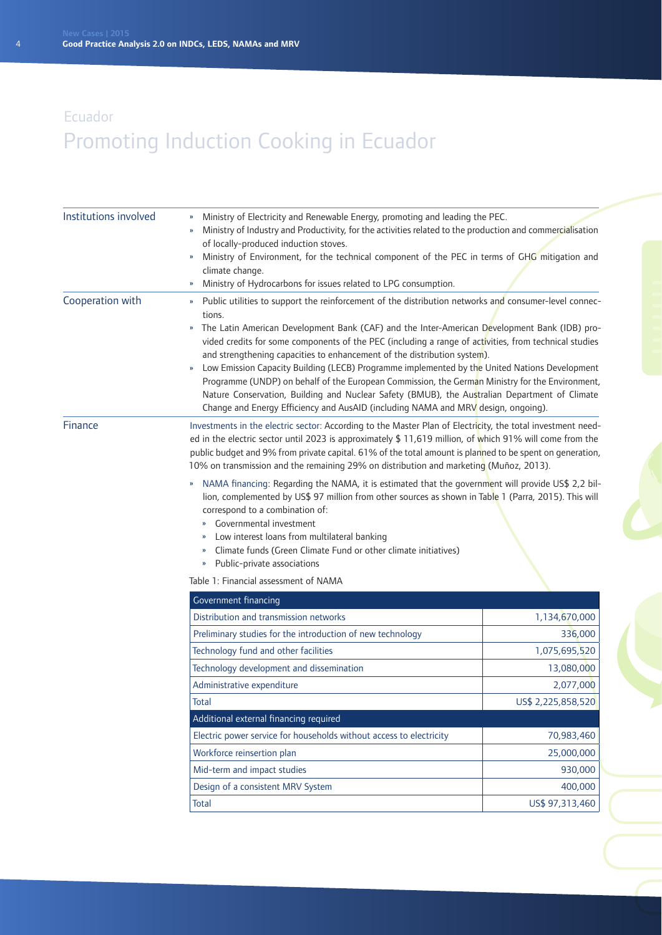| Institutions involved | Ministry of Electricity and Renewable Energy, promoting and leading the PEC.<br>Ministry of Industry and Productivity, for the activities related to the production and commercialisation<br>of locally-produced induction stoves.<br>Ministry of Environment, for the technical component of the PEC in terms of GHG mitigation and<br>»<br>climate change.<br>Ministry of Hydrocarbons for issues related to LPG consumption.<br>»                                                                                                                                                                                                                                                                                                                                                                                                                                                     |                         |
|-----------------------|------------------------------------------------------------------------------------------------------------------------------------------------------------------------------------------------------------------------------------------------------------------------------------------------------------------------------------------------------------------------------------------------------------------------------------------------------------------------------------------------------------------------------------------------------------------------------------------------------------------------------------------------------------------------------------------------------------------------------------------------------------------------------------------------------------------------------------------------------------------------------------------|-------------------------|
| Cooperation with      | Public utilities to support the reinforcement of the distribution networks and consumer-level connec-<br>$\boldsymbol{\mathcal{Y}}$<br>tions.<br>The Latin American Development Bank (CAF) and the Inter-American Development Bank (IDB) pro-<br>$\boldsymbol{\mathcal{V}}$<br>vided credits for some components of the PEC (including a range of activities, from technical studies<br>and strengthening capacities to enhancement of the distribution system).<br>Low Emission Capacity Building (LECB) Programme implemented by the United Nations Development<br>$\boldsymbol{\mathcal{V}}$<br>Programme (UNDP) on behalf of the European Commission, the German Ministry for the Environment,<br>Nature Conservation, Building and Nuclear Safety (BMUB), the Australian Department of Climate<br>Change and Energy Efficiency and AusAID (including NAMA and MRV design, ongoing). |                         |
| Finance               | Investments in the electric sector: According to the Master Plan of Electricity, the total investment need-<br>ed in the electric sector until 2023 is approximately \$ 11,619 million, of which 91% will come from the<br>public budget and 9% from private capital. 61% of the total amount is planned to be spent on generation,<br>10% on transmission and the remaining 29% on distribution and marketing (Muñoz, 2013).                                                                                                                                                                                                                                                                                                                                                                                                                                                            |                         |
|                       | NAMA financing: Regarding the NAMA, it is estimated that the government will provide US\$ 2,2 bil-<br>»<br>lion, complemented by US\$ 97 million from other sources as shown in Table 1 (Parra, 2015). This will<br>correspond to a combination of:<br>Governmental investment<br>Low interest loans from multilateral banking<br>»<br>Climate funds (Green Climate Fund or other climate initiatives)<br>$\boldsymbol{\mathcal{Y}}$<br>Public-private associations<br>»                                                                                                                                                                                                                                                                                                                                                                                                                 |                         |
|                       | Table 1: Financial assessment of NAMA                                                                                                                                                                                                                                                                                                                                                                                                                                                                                                                                                                                                                                                                                                                                                                                                                                                    |                         |
|                       | Government financing                                                                                                                                                                                                                                                                                                                                                                                                                                                                                                                                                                                                                                                                                                                                                                                                                                                                     |                         |
|                       | Distribution and transmission networks                                                                                                                                                                                                                                                                                                                                                                                                                                                                                                                                                                                                                                                                                                                                                                                                                                                   | 1,134,670,000           |
|                       | Preliminary studies for the introduction of new technology                                                                                                                                                                                                                                                                                                                                                                                                                                                                                                                                                                                                                                                                                                                                                                                                                               | 336,000                 |
|                       | Technology fund and other facilities                                                                                                                                                                                                                                                                                                                                                                                                                                                                                                                                                                                                                                                                                                                                                                                                                                                     | 1,075,695,520           |
|                       | Technology development and dissemination                                                                                                                                                                                                                                                                                                                                                                                                                                                                                                                                                                                                                                                                                                                                                                                                                                                 | 13,080,000<br>2,077,000 |
|                       | Administrative expenditure<br><b>Total</b>                                                                                                                                                                                                                                                                                                                                                                                                                                                                                                                                                                                                                                                                                                                                                                                                                                               | US\$ 2,225,858,520      |
|                       | Additional external financing required                                                                                                                                                                                                                                                                                                                                                                                                                                                                                                                                                                                                                                                                                                                                                                                                                                                   |                         |
|                       | Electric power service for households without access to electricity                                                                                                                                                                                                                                                                                                                                                                                                                                                                                                                                                                                                                                                                                                                                                                                                                      | 70,983,460              |
|                       | Workforce reinsertion plan                                                                                                                                                                                                                                                                                                                                                                                                                                                                                                                                                                                                                                                                                                                                                                                                                                                               | 25,000,000              |
|                       | Mid-term and impact studies                                                                                                                                                                                                                                                                                                                                                                                                                                                                                                                                                                                                                                                                                                                                                                                                                                                              | 930,000                 |
|                       | Design of a consistent MRV System                                                                                                                                                                                                                                                                                                                                                                                                                                                                                                                                                                                                                                                                                                                                                                                                                                                        | 400,000                 |
|                       | <b>Total</b>                                                                                                                                                                                                                                                                                                                                                                                                                                                                                                                                                                                                                                                                                                                                                                                                                                                                             | US\$ 97,313,460         |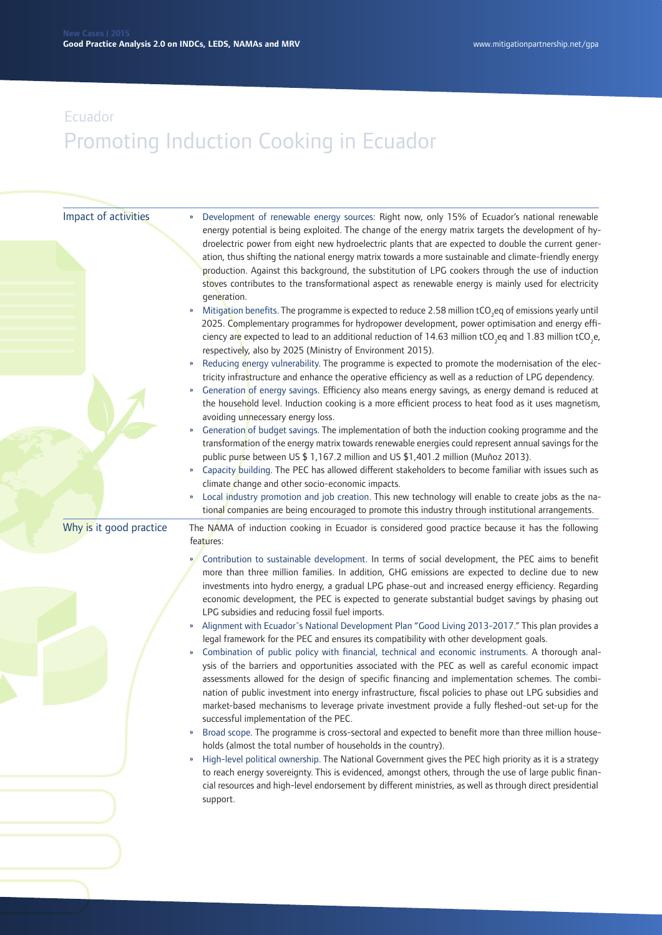| Impact of activities    | Development of renewable energy sources: Right now, only 15% of Ecuador's national renewable<br>energy potential is being exploited. The change of the energy matrix targets the development of hy-<br>droelectric power from eight new hydroelectric plants that are expected to double the current gener-<br>ation, thus shifting the national energy matrix towards a more sustainable and climate-friendly energy<br>production. Against this background, the substitution of LPG cookers through the use of induction<br>stoves contributes to the transformational aspect as renewable energy is mainly used for electricity<br>generation.<br>Mitigation benefits. The programme is expected to reduce 2.58 million tCO <sub>2</sub> eq of emissions yearly until<br>2025. Complementary programmes for hydropower development, power optimisation and energy effi-<br>ciency are expected to lead to an additional reduction of 14.63 million tCO <sub>2</sub> eq and 1.83 million tCO <sub>2</sub> e,<br>respectively, also by 2025 (Ministry of Environment 2015).<br>Reducing energy vulnerability. The programme is expected to promote the modernisation of the elec-<br>»<br>tricity infrastructure and enhance the operative efficiency as well as a reduction of LPG dependency.<br>Generation of energy savings. Efficiency also means energy savings, as energy demand is reduced at<br>»<br>the household level. Induction cooking is a more efficient process to heat food as it uses magnetism,<br>avoiding unnecessary energy loss.<br>Generation of budget savings. The implementation of both the induction cooking programme and the<br>»<br>transformation of the energy matrix towards renewable energies could represent annual savings for the<br>public purse between US \$ 1,167.2 million and US \$1,401.2 million (Muñoz 2013).<br>Capacity building. The PEC has allowed different stakeholders to become familiar with issues such as<br>» |
|-------------------------|-------------------------------------------------------------------------------------------------------------------------------------------------------------------------------------------------------------------------------------------------------------------------------------------------------------------------------------------------------------------------------------------------------------------------------------------------------------------------------------------------------------------------------------------------------------------------------------------------------------------------------------------------------------------------------------------------------------------------------------------------------------------------------------------------------------------------------------------------------------------------------------------------------------------------------------------------------------------------------------------------------------------------------------------------------------------------------------------------------------------------------------------------------------------------------------------------------------------------------------------------------------------------------------------------------------------------------------------------------------------------------------------------------------------------------------------------------------------------------------------------------------------------------------------------------------------------------------------------------------------------------------------------------------------------------------------------------------------------------------------------------------------------------------------------------------------------------------------------------------------------------------------------------------------------------------------------------------------------------|
|                         | climate change and other socio-economic impacts.<br>Local industry promotion and job creation. This new technology will enable to create jobs as the na-<br>»<br>tional companies are being encouraged to promote this industry through institutional arrangements.                                                                                                                                                                                                                                                                                                                                                                                                                                                                                                                                                                                                                                                                                                                                                                                                                                                                                                                                                                                                                                                                                                                                                                                                                                                                                                                                                                                                                                                                                                                                                                                                                                                                                                           |
| Why is it good practice | The NAMA of induction cooking in Ecuador is considered good practice because it has the following<br>features:                                                                                                                                                                                                                                                                                                                                                                                                                                                                                                                                                                                                                                                                                                                                                                                                                                                                                                                                                                                                                                                                                                                                                                                                                                                                                                                                                                                                                                                                                                                                                                                                                                                                                                                                                                                                                                                                |
|                         | Contribution to sustainable development. In terms of social development, the PEC aims to benefit<br>$\mathbf{v}$<br>more than three million families. In addition, GHG emissions are expected to decline due to new<br>investments into hydro energy, a gradual LPG phase-out and increased energy efficiency. Regarding<br>economic development, the PEC is expected to generate substantial budget savings by phasing out<br>LPG subsidies and reducing fossil fuel imports.<br>Alignment with Ecuador's National Development Plan "Good Living 2013-2017." This plan provides a<br>$\boldsymbol{\mathcal{V}}$<br>legal framework for the PEC and ensures its compatibility with other development goals.<br>Combination of public policy with financial, technical and economic instruments. A thorough anal-<br>$\boldsymbol{\mathcal{W}}$<br>ysis of the barriers and opportunities associated with the PEC as well as careful economic impact<br>assessments allowed for the design of specific financing and implementation schemes. The combi-<br>nation of public investment into energy infrastructure, fiscal policies to phase out LPG subsidies and<br>market-based mechanisms to leverage private investment provide a fully fleshed-out set-up for the<br>successful implementation of the PEC.<br>Broad scope. The programme is cross-sectoral and expected to benefit more than three million house-<br>»<br>holds (almost the total number of households in the country).<br>High-level political ownership. The National Government gives the PEC high priority as it is a strategy<br>»<br>to reach energy sovereignty. This is evidenced, amongst others, through the use of large public finan-<br>cial resources and high-level endorsement by different ministries, as well as through direct presidential<br>support.                                                                                                                                |
|                         |                                                                                                                                                                                                                                                                                                                                                                                                                                                                                                                                                                                                                                                                                                                                                                                                                                                                                                                                                                                                                                                                                                                                                                                                                                                                                                                                                                                                                                                                                                                                                                                                                                                                                                                                                                                                                                                                                                                                                                               |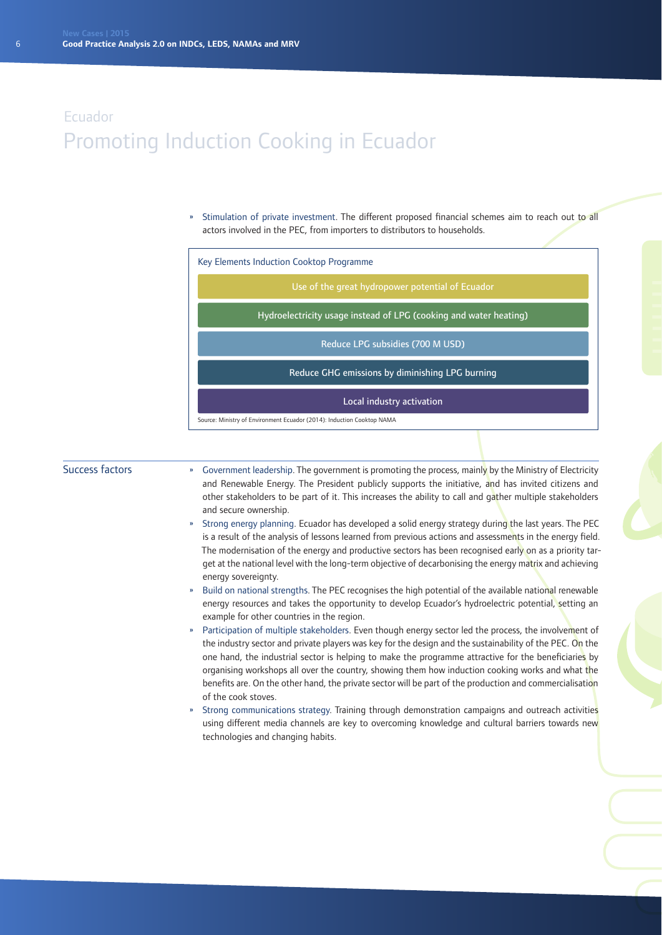» Stimulation of private investment. The different proposed financial schemes aim to reach out to all actors involved in the PEC, from importers to distributors to households.

|  | Key Elements Induction Cooktop Programme                               |  |  |
|--|------------------------------------------------------------------------|--|--|
|  | Use of the great hydropower potential of Ecuador                       |  |  |
|  | Hydroelectricity usage instead of LPG (cooking and water heating)      |  |  |
|  | Reduce LPG subsidies (700 M USD)                                       |  |  |
|  | Reduce GHG emissions by diminishing LPG burning                        |  |  |
|  | Local industry activation                                              |  |  |
|  | Source: Ministry of Environment Ecuador (2014): Induction Cooktop NAMA |  |  |

#### Success factors

- Government leadership. The government is promoting the process, mainly by the Ministry of Electricity and Renewable Energy. The President publicly supports the initiative, and has invited citizens and other stakeholders to be part of it. This increases the ability to call and gather multiple stakeholders and secure ownership.
- » Strong energy planning. Ecuador has developed a solid energy strategy during the last years. The PEC is a result of the analysis of lessons learned from previous actions and assessments in the energy field. The modernisation of the energy and productive sectors has been recognised early on as a priority target at the national level with the long-term objective of decarbonising the energy matrix and achieving energy sovereignty.
- » Build on national strengths. The PEC recognises the high potential of the available national renewable energy resources and takes the opportunity to develop Ecuador's hydroelectric potential, setting an example for other countries in the region.
- » Participation of multiple stakeholders. Even though energy sector led the process, the involvement of the industry sector and private players was key for the design and the sustainability of the PEC. On the one hand, the industrial sector is helping to make the programme attractive for the beneficiaries by organising workshops all over the country, showing them how induction cooking works and what the benefits are. On the other hand, the private sector will be part of the production and commercialisation of the cook stoves.
- Strong communications strategy. Training through demonstration campaigns and outreach activities using different media channels are key to overcoming knowledge and cultural barriers towards new technologies and changing habits.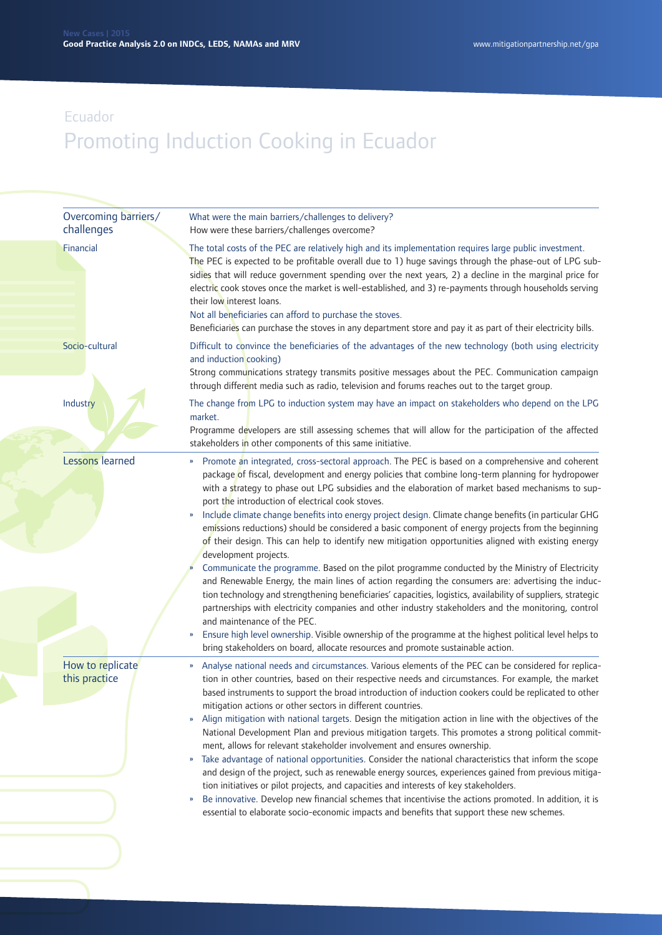| Overcoming barriers/<br>challenges | What were the main barriers/challenges to delivery?<br>How were these barriers/challenges overcome?                                                                                                                                                                                                                                                                                                                                                                                                                                                                                                                                                                                                                                                                                                                                                                                                                                                                                                                                                                                                                                                                                                                                                                                                                                                                                     |
|------------------------------------|-----------------------------------------------------------------------------------------------------------------------------------------------------------------------------------------------------------------------------------------------------------------------------------------------------------------------------------------------------------------------------------------------------------------------------------------------------------------------------------------------------------------------------------------------------------------------------------------------------------------------------------------------------------------------------------------------------------------------------------------------------------------------------------------------------------------------------------------------------------------------------------------------------------------------------------------------------------------------------------------------------------------------------------------------------------------------------------------------------------------------------------------------------------------------------------------------------------------------------------------------------------------------------------------------------------------------------------------------------------------------------------------|
| Financial                          | The total costs of the PEC are relatively high and its implementation requires large public investment.<br>The PEC is expected to be profitable overall due to 1) huge savings through the phase-out of LPG sub-<br>sidies that will reduce government spending over the next years, 2) a decline in the marginal price for<br>electric cook stoves once the market is well-established, and 3) re-payments through households serving<br>their low interest loans.<br>Not all beneficiaries can afford to purchase the stoves.<br>Beneficiaries can purchase the stoves in any department store and pay it as part of their electricity bills.                                                                                                                                                                                                                                                                                                                                                                                                                                                                                                                                                                                                                                                                                                                                         |
| Socio-cultural                     | Difficult to convince the beneficiaries of the advantages of the new technology (both using electricity<br>and induction cooking)<br>Strong communications strategy transmits positive messages about the PEC. Communication campaign<br>through different media such as radio, television and forums reaches out to the target group.                                                                                                                                                                                                                                                                                                                                                                                                                                                                                                                                                                                                                                                                                                                                                                                                                                                                                                                                                                                                                                                  |
| Industry                           | The change from LPG to induction system may have an impact on stakeholders who depend on the LPG<br>market.<br>Programme developers are still assessing schemes that will allow for the participation of the affected<br>stakeholders in other components of this same initiative.                                                                                                                                                                                                                                                                                                                                                                                                                                                                                                                                                                                                                                                                                                                                                                                                                                                                                                                                                                                                                                                                                                      |
| <b>Lessons learned</b>             | Promote an integrated, cross-sectoral approach. The PEC is based on a comprehensive and coherent<br>»<br>package of fiscal, development and energy policies that combine long-term planning for hydropower<br>with a strategy to phase out LPG subsidies and the elaboration of market based mechanisms to sup-<br>port the introduction of electrical cook stoves.<br>Include climate change benefits into energy project design. Climate change benefits (in particular GHG<br>emissions reductions) should be considered a basic component of energy projects from the beginning<br>of their design. This can help to identify new mitigation opportunities aligned with existing energy<br>development projects.<br>Communicate the programme. Based on the pilot programme conducted by the Ministry of Electricity<br>and Renewable Energy, the main lines of action regarding the consumers are: advertising the induc-<br>tion technology and strengthening beneficiaries' capacities, logistics, availability of suppliers, strategic<br>partnerships with electricity companies and other industry stakeholders and the monitoring, control<br>and maintenance of the PEC.<br>Ensure high level ownership. Visible ownership of the programme at the highest political level helps to<br>D<br>bring stakeholders on board, allocate resources and promote sustainable action. |
| How to replicate<br>this practice  | Analyse national needs and circumstances. Various elements of the PEC can be considered for replica-<br>tion in other countries, based on their respective needs and circumstances. For example, the market<br>based instruments to support the broad introduction of induction cookers could be replicated to other<br>mitigation actions or other sectors in different countries.<br>Align mitigation with national targets. Design the mitigation action in line with the objectives of the<br>National Development Plan and previous mitigation targets. This promotes a strong political commit-<br>ment, allows for relevant stakeholder involvement and ensures ownership.<br>Take advantage of national opportunities. Consider the national characteristics that inform the scope<br>and design of the project, such as renewable energy sources, experiences gained from previous mitiga-<br>tion initiatives or pilot projects, and capacities and interests of key stakeholders.<br>Be innovative. Develop new financial schemes that incentivise the actions promoted. In addition, it is<br>$\boldsymbol{\mathcal{V}}$<br>essential to elaborate socio-economic impacts and benefits that support these new schemes.                                                                                                                                                      |